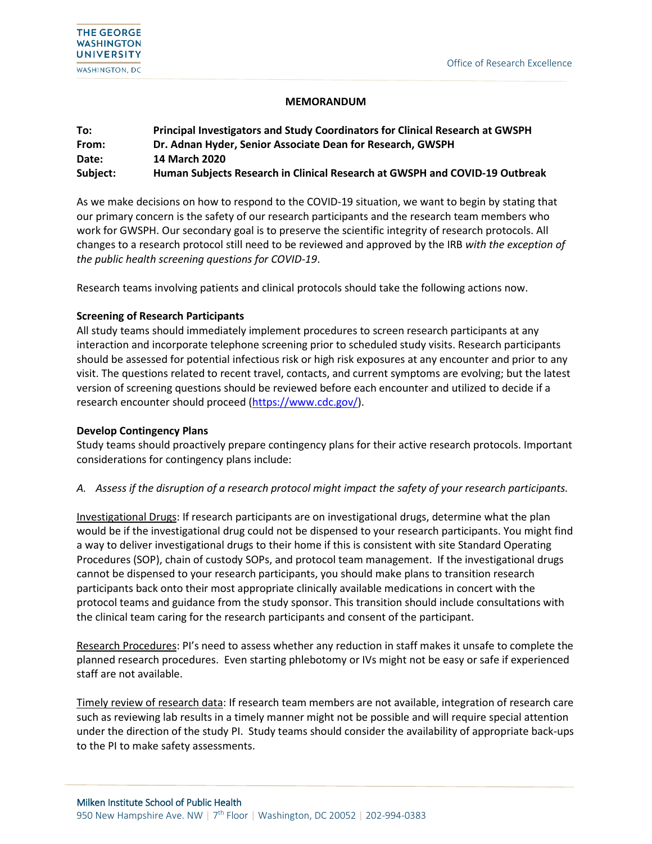#### **MEMORANDUM**

| To:      | Principal Investigators and Study Coordinators for Clinical Research at GWSPH |
|----------|-------------------------------------------------------------------------------|
| From:    | Dr. Adnan Hyder, Senior Associate Dean for Research, GWSPH                    |
| Date:    | <b>14 March 2020</b>                                                          |
| Subject: | Human Subjects Research in Clinical Research at GWSPH and COVID-19 Outbreak   |

As we make decisions on how to respond to the COVID-19 situation, we want to begin by stating that our primary concern is the safety of our research participants and the research team members who work for GWSPH. Our secondary goal is to preserve the scientific integrity of research protocols. All changes to a research protocol still need to be reviewed and approved by the IRB *with the exception of the public health screening questions for COVID-19*.

Research teams involving patients and clinical protocols should take the following actions now.

### **Screening of Research Participants**

All study teams should immediately implement procedures to screen research participants at any interaction and incorporate telephone screening prior to scheduled study visits. Research participants should be assessed for potential infectious risk or high risk exposures at any encounter and prior to any visit. The questions related to recent travel, contacts, and current symptoms are evolving; but the latest version of screening questions should be reviewed before each encounter and utilized to decide if a research encounter should proceed [\(https://www.cdc.gov/\)](https://www.cdc.gov/).

## **Develop Contingency Plans**

֠

Study teams should proactively prepare contingency plans for their active research protocols. Important considerations for contingency plans include:

## *A. Assess if the disruption of a research protocol might impact the safety of your research participants.*

Investigational Drugs: If research participants are on investigational drugs, determine what the plan would be if the investigational drug could not be dispensed to your research participants. You might find a way to deliver investigational drugs to their home if this is consistent with site Standard Operating Procedures (SOP), chain of custody SOPs, and protocol team management. If the investigational drugs cannot be dispensed to your research participants, you should make plans to transition research participants back onto their most appropriate clinically available medications in concert with the protocol teams and guidance from the study sponsor. This transition should include consultations with the clinical team caring for the research participants and consent of the participant.

Research Procedures: PI's need to assess whether any reduction in staff makes it unsafe to complete the planned research procedures. Even starting phlebotomy or IVs might not be easy or safe if experienced staff are not available.

Timely review of research data: If research team members are not available, integration of research care such as reviewing lab results in a timely manner might not be possible and will require special attention under the direction of the study PI. Study teams should consider the availability of appropriate back-ups to the PI to make safety assessments.